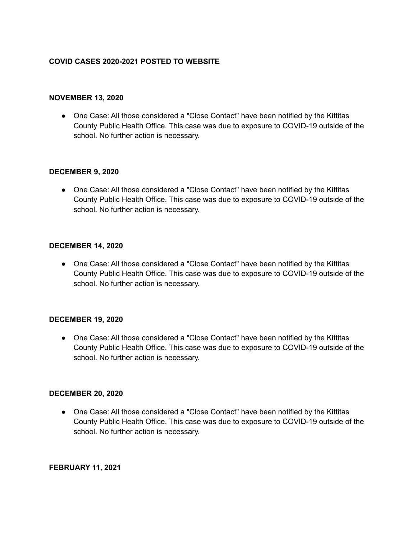## **COVID CASES 2020-2021 POSTED TO WEBSITE**

#### **NOVEMBER 13, 2020**

● One Case: All those considered a "Close Contact" have been notified by the Kittitas County Public Health Office. This case was due to exposure to COVID-19 outside of the school. No further action is necessary.

#### **DECEMBER 9, 2020**

● One Case: All those considered a "Close Contact" have been notified by the Kittitas County Public Health Office. This case was due to exposure to COVID-19 outside of the school. No further action is necessary.

## **DECEMBER 14, 2020**

● One Case: All those considered a "Close Contact" have been notified by the Kittitas County Public Health Office. This case was due to exposure to COVID-19 outside of the school. No further action is necessary.

#### **DECEMBER 19, 2020**

● One Case: All those considered a "Close Contact" have been notified by the Kittitas County Public Health Office. This case was due to exposure to COVID-19 outside of the school. No further action is necessary.

#### **DECEMBER 20, 2020**

● One Case: All those considered a "Close Contact" have been notified by the Kittitas County Public Health Office. This case was due to exposure to COVID-19 outside of the school. No further action is necessary.

## **FEBRUARY 11, 2021**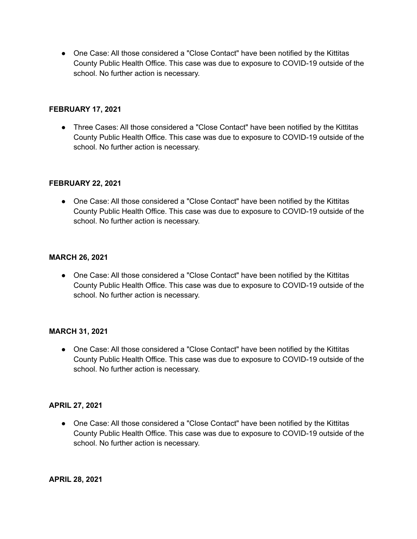● One Case: All those considered a "Close Contact" have been notified by the Kittitas County Public Health Office. This case was due to exposure to COVID-19 outside of the school. No further action is necessary.

## **FEBRUARY 17, 2021**

• Three Cases: All those considered a "Close Contact" have been notified by the Kittitas County Public Health Office. This case was due to exposure to COVID-19 outside of the school. No further action is necessary.

# **FEBRUARY 22, 2021**

● One Case: All those considered a "Close Contact" have been notified by the Kittitas County Public Health Office. This case was due to exposure to COVID-19 outside of the school. No further action is necessary.

# **MARCH 26, 2021**

● One Case: All those considered a "Close Contact" have been notified by the Kittitas County Public Health Office. This case was due to exposure to COVID-19 outside of the school. No further action is necessary.

## **MARCH 31, 2021**

• One Case: All those considered a "Close Contact" have been notified by the Kittitas County Public Health Office. This case was due to exposure to COVID-19 outside of the school. No further action is necessary.

## **APRIL 27, 2021**

• One Case: All those considered a "Close Contact" have been notified by the Kittitas County Public Health Office. This case was due to exposure to COVID-19 outside of the school. No further action is necessary.

**APRIL 28, 2021**